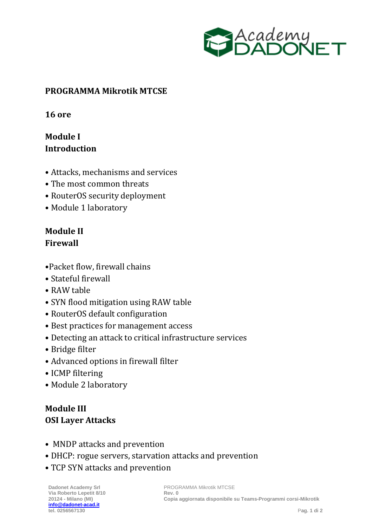

#### **PROGRAMMA Mikrotik MTCSE**

**16 ore**

# **Module I Introduction**

- Attacks, mechanisms and services
- The most common threats
- RouterOS security deployment
- Module 1 laboratory

### **Module II Firewall**

- •Packet flow, firewall chains
- Stateful firewall
- RAW table
- SYN flood mitigation using RAW table
- RouterOS default configuration
- Best practices for management access
- Detecting an attack to critical infrastructure services
- Bridge filter
- Advanced options in firewall filter
- ICMP filtering
- Module 2 laboratory

## **Module III OSI Layer Attacks**

- MNDP attacks and prevention
- DHCP: rogue servers, starvation attacks and prevention
- TCP SYN attacks and prevention